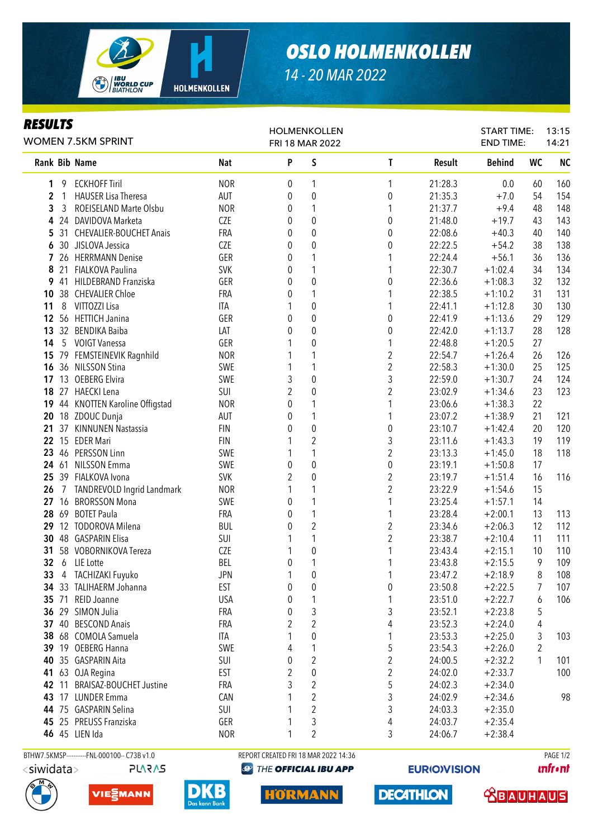

*RESULTS*

## *OSLO HOLMENKOLLEN*

START TIME:

13:15

*14 - 20 MAR 2022*

HOLMENKOLLEN

## Rank Bib Name Nat Nat P S T Result Behind WC NC 1 9 ECKHOFF Tiril NOR 0 1 1 21:28.3 0.0 60 160 **2** 1 HAUSER Lisa Theresa **AUT** 0 0 0 0 21:35.3 +7.0 54 154 **3** 3 ROEISELAND Marte Olsbu **NOR** 0 1 1 21:37.7 +9.4 48 148 4 24 DAVIDOVA Marketa CZE 0 0 0 21:48.0 +19.7 43 143 5 31 CHEVALIER-BOUCHET Anais FRA 0 0 0 22:08.6 +40.3 40 140 6 30 JISLOVA Jessica CZE 0 0 0 22:22.5 +54.2 38 138 7 26 HERRMANN Denise GER 0 1 1 22:24.4 +56.1 36 136 8 21 FIALKOVA Paulina SVK 0 1 1 22:30.7 +1:02.4 34 134 9 41 HILDEBRAND Franziska GER 0 0 0 22:36.6 +1:08.3 32 132 10 38 CHEVALIER Chloe FRA 0 1 1 22:38.5 +1:10.2 31 131 11 8 VITTOZZI Lisa ITA 1 0 1 22:41.1 +1:12.8 30 130 12 56 HETTICH Janina GER 0 0 0 22:41.9 +1:13.6 29 129 13 32 BENDIKA Baiba LAT 0 0 0 22:42.0 +1:13.7 28 128 14 5 VOIGT Vanessa GER 1 0 1 22:48.8 +1:20.5 27 15 79 FEMSTEINEVIK Ragnhild<br>
16 36 NILSSON Stina<br>
16 36 NILSSON Stina<br>
16 36 NILSSON Stina<br>
17 30 125 125 **16** 36 NILSSON Stina **SWE** 1 1 17 13 OEBERG Elvira SWE 3 0 3 22:59.0 +1:30.7 24 124 18 27 HAECKI Lena SUI 2 0 2 23:02.9 +1:34.6 23 123 19 44 KNOTTEN Karoline Offigstad MOR 0 1 1 23:06.6 +1:38.3 22 **20** 18 ZDOUC Dunia **AUT** 0 1 1 23:07.2 +1:38.9 21 121 21 37 KINNUNEN Nastassia FIN 0 0 0 23:10.7 +1:42.4 20 120 22 15 EDER Mari FIN 1 2 3 23:11.6 +1:43.3 19 119 23 46 PERSSON Linn **SWE** 1 1 2 23:13.3 +1:45.0 18 118 24 61 NILSSON Emma SWE 0 0 0 23:19.1 +1:50.8 17 25 39 FIALKOVA Ivona SVK 2 0 2 23:19.7 +1:51.4 16 116 **26** 7 TANDREVOLD Ingrid Landmark 1 0 1 1 1 2 23:22.9 + 1:54.6 15<br> **27** 16 BRORSSON Mona **1** SWE 0 1 1 23:25.4 + 1:57.1 14 27 16 BRORSSON Mona 5WE 0 1 1 23:25.4 +1:57.1 14 28 69 BOTET Paula FRA 0 1 1 23:28.4 +2:00.1 13 113 29 12 TODOROVA Milena BUL 0 2 2 23:34.6 +2:06.3 12 112 **30** 48 GASPARIN Elisa **SUI 1 1 1 2 23:38.7** +2:10.4 11 111 31 58 VOBORNIKOVA Tereza CZE 1 0 1 23:43.4 +2:15.1 10 110 **32** 6 LIE Lotte **BEL 1 1** 23:43.8 +2:15.5 9 109 33 4 TACHIZAKI Fuyuko JPN 1 0 1 23:47.2 +2:18.9 8 108 **34** 33 TALIHAERM Johanna **EST** 0 0 0 0 23:50.8 +2:22.5 7 107 35 71 REID Joanne USA 0 1 1 23:51.0 +2:22.7 6 106 **36** 29 SIMON Julia **FRA** 0 3 3 3 23:52.1 +2:23.8 5 37 40 BESCOND Anais **FRA** 2 2 2 4 23:52.3 +2:24.0 4 **38** 68 COMOLA Samuela **ITA** 1 0 1 23:53.3 +2:25.0 3 103 **39** 19 OEBERG Hanna **SWE** 4 1 5 23:54.3 +2:26.0 2 40 35 GASPARIN Aita SUI 0 2 2 24:00.5 +2:32.2 1 101 WOMEN 7.5KM SPRINT FRI 18 MAR 2022 END TIME: 14:21

 63 OJA Regina **EST** 2 0 2 24:02.0 +2:33.7 100 11 BRAISAZ-BOUCHET Justine FRA 3 2 5 24:02.3 +2:34.0 17 LUNDER Emma CAN 1 2 3 24:02.9 +2:34.6 98 75 GASPARIN Selina SUI 1 2 3 24:03.3 +2:35.0 25 PREUSS Franziska GER 1 3 4 24:03.7 +2:35.4 45 LIEN Ida NOR 1 2 3 24:06.7 +2:38.4 BTHW7.5KMSP-----------FNL-000100-- C73B v1.0 REPORT CREATED FRI 18 MAR 2022 14:36 PAGE 1/2

HORMANN

 $\langle$ siwidata $>$ 





**EURIOVISION** 

**DECATHLON** 

**unfront**